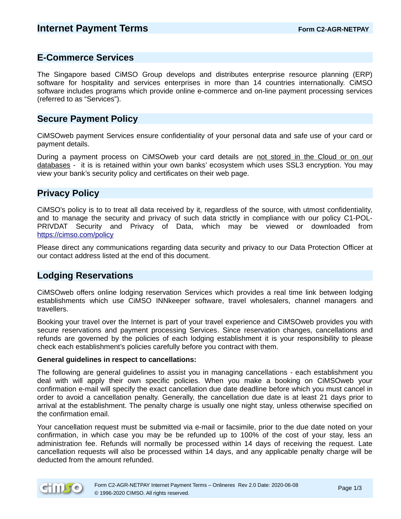### **E-Commerce Services**

The Singapore based CiMSO Group develops and distributes enterprise resource planning (ERP) software for hospitality and services enterprises in more than 14 countries internationally. CIMSO software includes programs which provide online e-commerce and on-line payment processing services (referred to as "Services").

### **Secure Payment Policy**

CiMSOweb payment Services ensure confidentiality of your personal data and safe use of your card or payment details.

During a payment process on CiMSOweb your card details are not stored in the Cloud or on our databases - it is is retained within your own banks' ecosystem which uses SSL3 encryption. You may view your bank's security policy and certificates on their web page.

## **Privacy Policy**

CiMSO's policy is to to treat all data received by it, regardless of the source, with utmost confidentiality, and to manage the security and privacy of such data strictly in compliance with our policy C1-POL-PRIVDAT Security and Privacy of Data, which may be viewed or downloaded from <https://cimso.com/policy>

Please direct any communications regarding data security and privacy to our Data Protection Officer at our contact address listed at the end of this document.

## **Lodging Reservations**

CiMSOweb offers online lodging reservation Services which provides a real time link between lodging establishments which use CiMSO INNkeeper software, travel wholesalers, channel managers and travellers.

Booking your travel over the Internet is part of your travel experience and CiMSOweb provides you with secure reservations and payment processing Services. Since reservation changes, cancellations and refunds are governed by the policies of each lodging establishment it is your responsibility to please check each establishment's policies carefully before you contract with them.

#### **General guidelines in respect to cancellations:**

The following are general guidelines to assist you in managing cancellations - each establishment you deal with will apply their own specific policies. When you make a booking on CiMSOweb your confirmation e-mail will specify the exact cancellation due date deadline before which you must cancel in order to avoid a cancellation penalty. Generally, the cancellation due date is at least 21 days prior to arrival at the establishment. The penalty charge is usually one night stay, unless otherwise specified on the confirmation email.

Your cancellation request must be submitted via e-mail or facsimile, prior to the due date noted on your confirmation, in which case you may be be refunded up to 100% of the cost of your stay, less an administration fee. Refunds will normally be processed within 14 days of receiving the request. Late cancellation requests will also be processed within 14 days, and any applicable penalty charge will be deducted from the amount refunded.

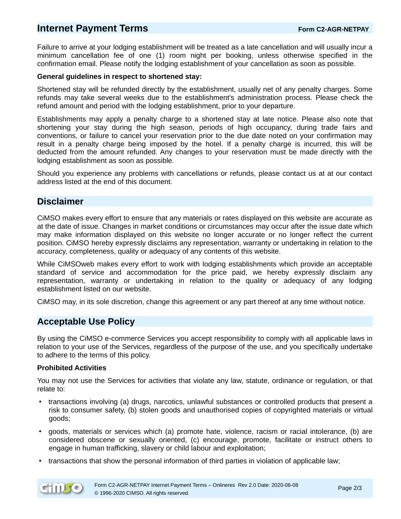# **Internet Payment Terms** *CONDERGY CONDERGY* **Form C2-AGR-NETPAY**

Failure to arrive at your lodging establishment will be treated as a late cancellation and will usually incur a minimum cancellation fee of one (1) room night per booking, unless otherwise specified in the confirmation email. Please notify the lodging establishment of your cancellation as soon as possible.

#### **General guidelines in respect to shortened stay:**

Shortened stay will be refunded directly by the establishment, usually net of any penalty charges. Some refunds may take several weeks due to the establishment's administration process. Please check the refund amount and period with the lodging establishment, prior to your departure.

Establishments may apply a penalty charge to a shortened stay at late notice. Please also note that shortening your stay during the high season, periods of high occupancy, during trade fairs and conventions, or failure to cancel your reservation prior to the due date noted on your confirmation may result in a penalty charge being imposed by the hotel. If a penalty charge is incurred, this will be deducted from the amount refunded. Any changes to your reservation must be made directly with the lodging establishment as soon as possible.

Should you experience any problems with cancellations or refunds, please contact us at at our contact address listed at the end of this document.

## **Disclaimer**

CiMSO makes every effort to ensure that any materials or rates displayed on this website are accurate as at the date of issue. Changes in market conditions or circumstances may occur after the issue date which may make information displayed on this website no longer accurate or no longer reflect the current position. CiMSO hereby expressly disclaims any representation, warranty or undertaking in relation to the accuracy, completeness, quality or adequacy of any contents of this website.

While CiMSOweb makes every effort to work with lodging establishments which provide an acceptable standard of service and accommodation for the price paid, we hereby expressly disclaim any representation, warranty or undertaking in relation to the quality or adequacy of any lodging establishment listed on our website.

CiMSO may, in its sole discretion, change this agreement or any part thereof at any time without notice.

# **Acceptable Use Policy**

By using the CiMSO e-commerce Services you accept responsibility to comply with all applicable laws in relation to your use of the Services, regardless of the purpose of the use, and you specifically undertake to adhere to the terms of this policy.

### **Prohibited Activities**

You may not use the Services for activities that violate any law, statute, ordinance or regulation, or that relate to:

- transactions involving (a) drugs, narcotics, unlawful substances or controlled products that present a risk to consumer safety, (b) stolen goods and unauthorised copies of copyrighted materials or virtual goods;
- goods, materials or services which (a) promote hate, violence, racism or racial intolerance, (b) are considered obscene or sexually oriented, (c) encourage, promote, facilitate or instruct others to engage in human trafficking, slavery or child labour and exploitation;
- transactions that show the personal information of third parties in violation of applicable law;